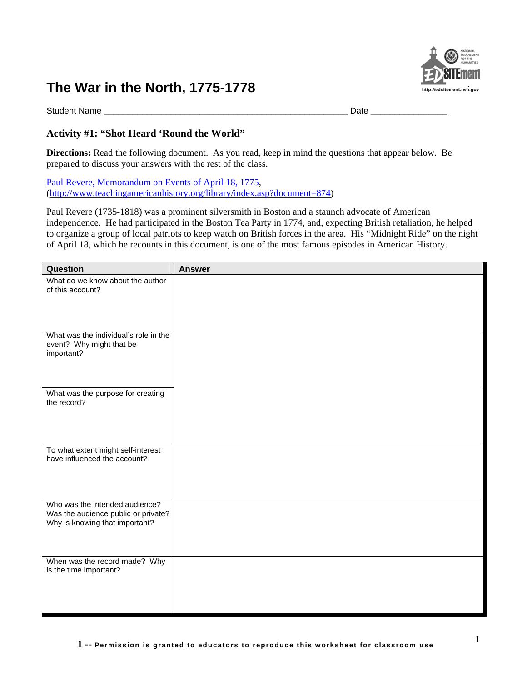

Student Name \_\_\_\_\_\_\_\_\_\_\_\_\_\_\_\_\_\_\_\_\_\_\_\_\_\_\_\_\_\_\_\_\_\_\_\_\_\_\_\_\_\_\_\_\_\_\_\_\_\_\_ Date \_\_\_\_\_\_\_\_\_\_\_\_\_\_\_\_

# **Activity #1: "Shot Heard 'Round the World"**

**Directions:** Read the following document. As you read, keep in mind the questions that appear below. Be prepared to discuss your answers with the rest of the class.

[Paul Revere, Memorandum on Events of April 18, 1775,](http://www.teachingamericanhistory.org/library/index.asp?document=874) (<http://www.teachingamericanhistory.org/library/index.asp?document=874>)

Paul Revere (1735-1818) was a prominent silversmith in Boston and a staunch advocate of American independence. He had participated in the Boston Tea Party in 1774, and, expecting British retaliation, he helped to organize a group of local patriots to keep watch on British forces in the area. His "Midnight Ride" on the night of April 18, which he recounts in this document, is one of the most famous episodes in American History.

| Question                                                                                                | <b>Answer</b> |
|---------------------------------------------------------------------------------------------------------|---------------|
| What do we know about the author<br>of this account?                                                    |               |
|                                                                                                         |               |
| What was the individual's role in the<br>event? Why might that be<br>important?                         |               |
| What was the purpose for creating<br>the record?                                                        |               |
| To what extent might self-interest<br>have influenced the account?                                      |               |
| Who was the intended audience?<br>Was the audience public or private?<br>Why is knowing that important? |               |
| When was the record made? Why<br>is the time important?                                                 |               |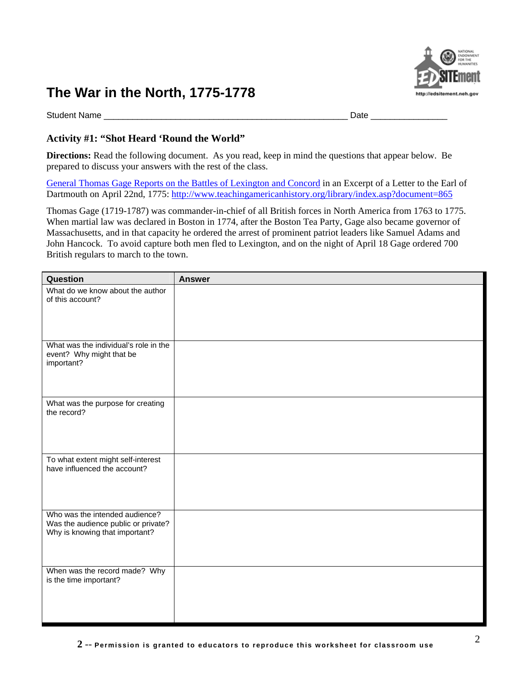

Student Name \_\_\_\_\_\_\_\_\_\_\_\_\_\_\_\_\_\_\_\_\_\_\_\_\_\_\_\_\_\_\_\_\_\_\_\_\_\_\_\_\_\_\_\_\_\_\_\_\_\_\_ Date \_\_\_\_\_\_\_\_\_\_\_\_\_\_\_\_

## **Activity #1: "Shot Heard 'Round the World"**

**Directions:** Read the following document. As you read, keep in mind the questions that appear below. Be prepared to discuss your answers with the rest of the class.

[General Thomas Gage Reports on the Battles of Lexington and Concord](http://www.teachingamericanhistory.org/library/index.asp?document=865) in an Excerpt of a Letter to the Earl of Dartmouth on April 22nd, 1775:<http://www.teachingamericanhistory.org/library/index.asp?document=865>

Thomas Gage (1719-1787) was commander-in-chief of all British forces in North America from 1763 to 1775. When martial law was declared in Boston in 1774, after the Boston Tea Party, Gage also became governor of Massachusetts, and in that capacity he ordered the arrest of prominent patriot leaders like Samuel Adams and John Hancock. To avoid capture both men fled to Lexington, and on the night of April 18 Gage ordered 700 British regulars to march to the town.

| Question                                                                                                | <b>Answer</b> |
|---------------------------------------------------------------------------------------------------------|---------------|
| What do we know about the author<br>of this account?                                                    |               |
|                                                                                                         |               |
| What was the individual's role in the<br>event? Why might that be<br>important?                         |               |
| What was the purpose for creating<br>the record?                                                        |               |
| To what extent might self-interest<br>have influenced the account?                                      |               |
| Who was the intended audience?<br>Was the audience public or private?<br>Why is knowing that important? |               |
| When was the record made? Why<br>is the time important?                                                 |               |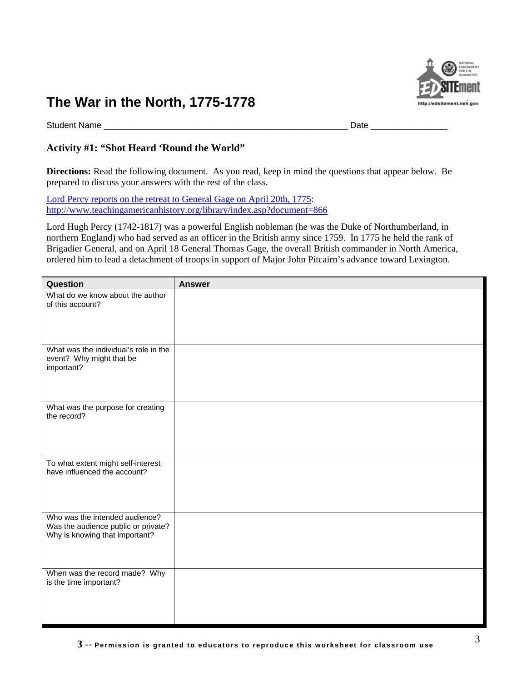

Student Name \_\_\_\_\_\_\_\_\_\_\_\_\_\_\_\_\_\_\_\_\_\_\_\_\_\_\_\_\_\_\_\_\_\_\_\_\_\_\_\_\_\_\_\_\_\_\_\_\_\_\_ Date \_\_\_\_\_\_\_\_\_\_\_\_\_\_\_\_

# **Activity #1: "Shot Heard 'Round the World"**

**Directions:** Read the following document. As you read, keep in mind the questions that appear below. Be prepared to discuss your answers with the rest of the class.

[Lord Percy reports on the retreat to General Gage on April 20th, 1775:](http://www.teachingamericanhistory.org/library/index.asp?document=866) <http://www.teachingamericanhistory.org/library/index.asp?document=866>

Lord Hugh Percy (1742-1817) was a powerful English nobleman (he was the Duke of Northumberland, in northern England) who had served as an officer in the British army since 1759. In 1775 he held the rank of Brigadier General, and on April 18 General Thomas Gage, the overall British commander in North America, ordered him to lead a detachment of troops in support of Major John Pitcairn's advance toward Lexington.

| Question                                                                                                | <b>Answer</b> |
|---------------------------------------------------------------------------------------------------------|---------------|
| What do we know about the author<br>of this account?                                                    |               |
|                                                                                                         |               |
| What was the individual's role in the<br>event? Why might that be<br>important?                         |               |
|                                                                                                         |               |
| What was the purpose for creating<br>the record?                                                        |               |
|                                                                                                         |               |
| To what extent might self-interest<br>have influenced the account?                                      |               |
| Who was the intended audience?<br>Was the audience public or private?<br>Why is knowing that important? |               |
| When was the record made? Why                                                                           |               |
| is the time important?                                                                                  |               |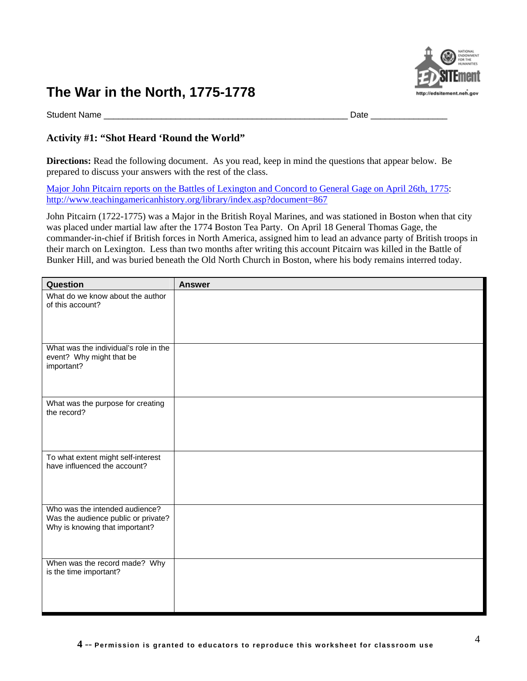

Student Name \_\_\_\_\_\_\_\_\_\_\_\_\_\_\_\_\_\_\_\_\_\_\_\_\_\_\_\_\_\_\_\_\_\_\_\_\_\_\_\_\_\_\_\_\_\_\_\_\_\_\_ Date \_\_\_\_\_\_\_\_\_\_\_\_\_\_\_\_

## **Activity #1: "Shot Heard 'Round the World"**

**Directions:** Read the following document. As you read, keep in mind the questions that appear below. Be prepared to discuss your answers with the rest of the class.

[Major John Pitcairn reports on the Battles of Lexington and Concord to General Gage on April 26th, 1775:](http://www.teachingamericanhistory.org/library/index.asp?document=867) <http://www.teachingamericanhistory.org/library/index.asp?document=867>

John Pitcairn (1722-1775) was a Major in the British Royal Marines, and was stationed in Boston when that city was placed under martial law after the 1774 Boston Tea Party. On April 18 General Thomas Gage, the commander-in-chief if British forces in North America, assigned him to lead an advance party of British troops in their march on Lexington. Less than two months after writing this account Pitcairn was killed in the Battle of Bunker Hill, and was buried beneath the Old North Church in Boston, where his body remains interred today.

| Question                                                                                                | <b>Answer</b> |
|---------------------------------------------------------------------------------------------------------|---------------|
| What do we know about the author<br>of this account?                                                    |               |
|                                                                                                         |               |
| What was the individual's role in the<br>event? Why might that be<br>important?                         |               |
| What was the purpose for creating<br>the record?                                                        |               |
| To what extent might self-interest<br>have influenced the account?                                      |               |
| Who was the intended audience?<br>Was the audience public or private?<br>Why is knowing that important? |               |
| When was the record made? Why<br>is the time important?                                                 |               |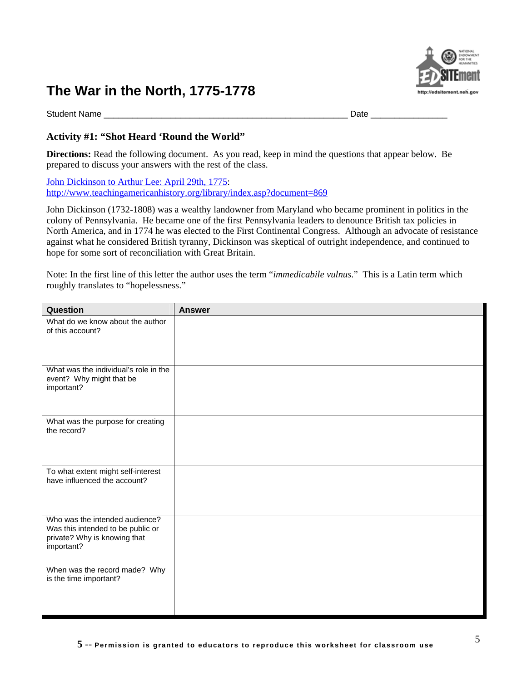

Student Name \_\_\_\_\_\_\_\_\_\_\_\_\_\_\_\_\_\_\_\_\_\_\_\_\_\_\_\_\_\_\_\_\_\_\_\_\_\_\_\_\_\_\_\_\_\_\_\_\_\_\_ Date \_\_\_\_\_\_\_\_\_\_\_\_\_\_\_\_

## **Activity #1: "Shot Heard 'Round the World"**

**Directions:** Read the following document. As you read, keep in mind the questions that appear below. Be prepared to discuss your answers with the rest of the class.

[John Dickinson to Arthur Lee: April 29th, 1775](http://www.teachingamericanhistory.org/library/index.asp?document=869): <http://www.teachingamericanhistory.org/library/index.asp?document=869>

John Dickinson (1732-1808) was a wealthy landowner from Maryland who became prominent in politics in the colony of Pennsylvania. He became one of the first Pennsylvania leaders to denounce British tax policies in North America, and in 1774 he was elected to the First Continental Congress. Although an advocate of resistance against what he considered British tyranny, Dickinson was skeptical of outright independence, and continued to hope for some sort of reconciliation with Great Britain.

Note: In the first line of this letter the author uses the term "*immedicabile vulnus*." This is a Latin term which roughly translates to "hopelessness."

| Question                                                                                                          | <b>Answer</b> |
|-------------------------------------------------------------------------------------------------------------------|---------------|
| What do we know about the author<br>of this account?                                                              |               |
| What was the individual's role in the<br>event? Why might that be<br>important?                                   |               |
| What was the purpose for creating<br>the record?                                                                  |               |
| To what extent might self-interest<br>have influenced the account?                                                |               |
| Who was the intended audience?<br>Was this intended to be public or<br>private? Why is knowing that<br>important? |               |
| When was the record made? Why<br>is the time important?                                                           |               |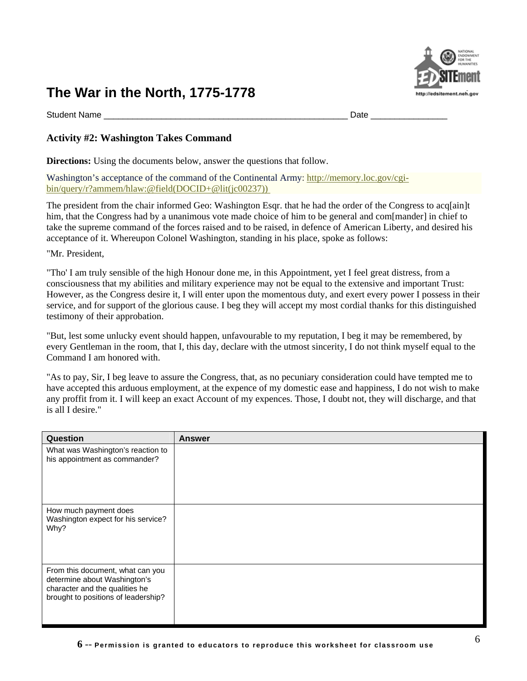# http://edsitement.neh.go

# **The War in the North, 1775-1778**

Student Name \_\_\_\_\_\_\_\_\_\_\_\_\_\_\_\_\_\_\_\_\_\_\_\_\_\_\_\_\_\_\_\_\_\_\_\_\_\_\_\_\_\_\_\_\_\_\_\_\_\_\_ Date \_\_\_\_\_\_\_\_\_\_\_\_\_\_\_\_

## **Activity #2: Washington Takes Command**

**Directions:** Using the documents below, answer the questions that follow.

Washington's acceptance of the command of the Continental Army: [http://memory.loc.gov/cgi](http://memory.loc.gov/cgi-bin/query/r?ammem/hlaw:@field(DOCID+@lit(jc00237)))[bin/query/r?ammem/hlaw:@field\(DOCID+@lit\(jc00237\)\)](http://memory.loc.gov/cgi-bin/query/r?ammem/hlaw:@field(DOCID+@lit(jc00237))) 

The president from the chair informed Geo: Washington Esqr. that he had the order of the Congress to acq[ain]t him, that the Congress had by a unanimous vote made choice of him to be general and com[mander] in chief to take the supreme command of the forces raised and to be raised, in defence of American Liberty, and desired his acceptance of it. Whereupon Colonel Washington, standing in his place, spoke as follows:

"Mr. President,

"Tho' I am truly sensible of the high Honour done me, in this Appointment, yet I feel great distress, from a consciousness that my abilities and military experience may not be equal to the extensive and important Trust: However, as the Congress desire it, I will enter upon the momentous duty, and exert every power I possess in their service, and for support of the glorious cause. I beg they will accept my most cordial thanks for this distinguished testimony of their approbation.

"But, lest some unlucky event should happen, unfavourable to my reputation, I beg it may be remembered, by every Gentleman in the room, that I, this day, declare with the utmost sincerity, I do not think myself equal to the Command I am honored with.

"As to pay, Sir, I beg leave to assure the Congress, that, as no pecuniary consideration could have tempted me to have accepted this arduous employment, at the expence of my domestic ease and happiness, I do not wish to make any proffit from it. I will keep an exact Account of my expences. Those, I doubt not, they will discharge, and that is all I desire."

| Question                                                                                                                                  | <b>Answer</b> |
|-------------------------------------------------------------------------------------------------------------------------------------------|---------------|
| What was Washington's reaction to<br>his appointment as commander?                                                                        |               |
| How much payment does<br>Washington expect for his service?<br>Why?                                                                       |               |
| From this document, what can you<br>determine about Washington's<br>character and the qualities he<br>brought to positions of leadership? |               |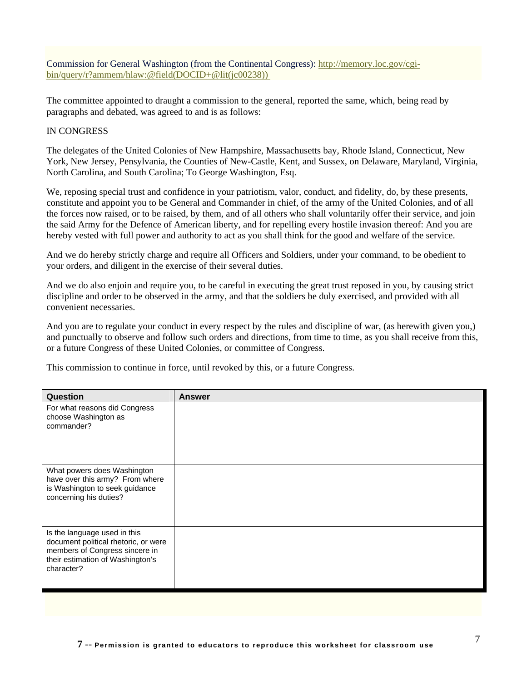Commission for General Washington (from the Continental Congress): [http://memory.loc.gov/cgi](http://memory.loc.gov/cgi-bin/query/r?ammem/hlaw:@field(DOCID+@lit(jc00238)))[bin/query/r?ammem/hlaw:@field\(DOCID+@lit\(jc00238\)\)](http://memory.loc.gov/cgi-bin/query/r?ammem/hlaw:@field(DOCID+@lit(jc00238))) 

The committee appointed to draught a commission to the general, reported the same, which, being read by paragraphs and debated, was agreed to and is as follows:

#### IN CONGRESS

The delegates of the United Colonies of New Hampshire, Massachusetts bay, Rhode Island, Connecticut, New York, New Jersey, Pensylvania, the Counties of New-Castle, Kent, and Sussex, on Delaware, Maryland, Virginia, North Carolina, and South Carolina; To George Washington, Esq.

We, reposing special trust and confidence in your patriotism, valor, conduct, and fidelity, do, by these presents, constitute and appoint you to be General and Commander in chief, of the army of the United Colonies, and of all the forces now raised, or to be raised, by them, and of all others who shall voluntarily offer their service, and join the said Army for the Defence of American liberty, and for repelling every hostile invasion thereof: And you are hereby vested with full power and authority to act as you shall think for the good and welfare of the service.

And we do hereby strictly charge and require all Officers and Soldiers, under your command, to be obedient to your orders, and diligent in the exercise of their several duties.

And we do also enjoin and require you, to be careful in executing the great trust reposed in you, by causing strict discipline and order to be observed in the army, and that the soldiers be duly exercised, and provided with all convenient necessaries.

And you are to regulate your conduct in every respect by the rules and discipline of war, (as herewith given you,) and punctually to observe and follow such orders and directions, from time to time, as you shall receive from this, or a future Congress of these United Colonies, or committee of Congress.

This commission to continue in force, until revoked by this, or a future Congress.

| Question                                                                                                                                                 | <b>Answer</b> |
|----------------------------------------------------------------------------------------------------------------------------------------------------------|---------------|
| For what reasons did Congress<br>choose Washington as<br>commander?                                                                                      |               |
| What powers does Washington<br>have over this army? From where<br>is Washington to seek guidance<br>concerning his duties?                               |               |
| Is the language used in this<br>document political rhetoric, or were<br>members of Congress sincere in<br>their estimation of Washington's<br>character? |               |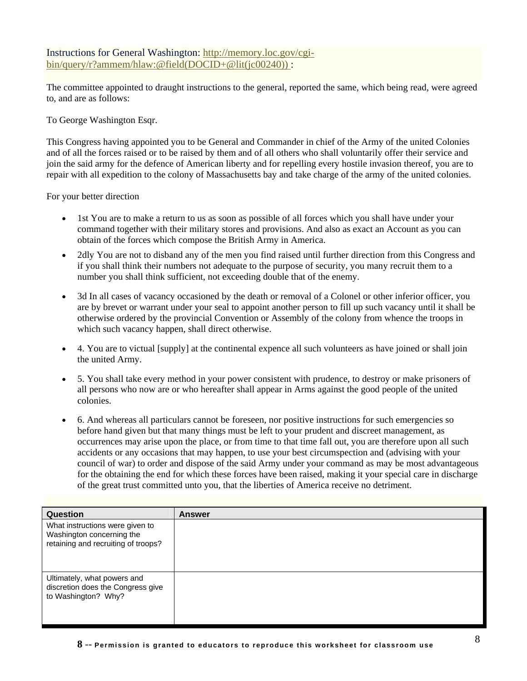## Instructions for General Washington: [http://memory.loc.gov/cgi](http://memory.loc.gov/cgi-bin/query/r?ammem/hlaw:@field(DOCID+@lit(jc00240)))[bin/query/r?ammem/hlaw:@field\(DOCID+@lit\(jc00240\)\) :](http://memory.loc.gov/cgi-bin/query/r?ammem/hlaw:@field(DOCID+@lit(jc00240)))

The committee appointed to draught instructions to the general, reported the same, which being read, were agreed to, and are as follows:

To George Washington Esqr.

This Congress having appointed you to be General and Commander in chief of the Army of the united Colonies and of all the forces raised or to be raised by them and of all others who shall voluntarily offer their service and join the said army for the defence of American liberty and for repelling every hostile invasion thereof, you are to repair with all expedition to the colony of Massachusetts bay and take charge of the army of the united colonies.

For your better direction

- 1st You are to make a return to us as soon as possible of all forces which you shall have under your command together with their military stores and provisions. And also as exact an Account as you can obtain of the forces which compose the British Army in America.
- 2dly You are not to disband any of the men you find raised until further direction from this Congress and if you shall think their numbers not adequate to the purpose of security, you many recruit them to a number you shall think sufficient, not exceeding double that of the enemy.
- 3d In all cases of vacancy occasioned by the death or removal of a Colonel or other inferior officer, you are by brevet or warrant under your seal to appoint another person to fill up such vacancy until it shall be otherwise ordered by the provincial Convention or Assembly of the colony from whence the troops in which such vacancy happen, shall direct otherwise.
- 4. You are to victual [supply] at the continental expence all such volunteers as have joined or shall join the united Army.
- 5. You shall take every method in your power consistent with prudence, to destroy or make prisoners of all persons who now are or who hereafter shall appear in Arms against the good people of the united colonies.
- 6. And whereas all particulars cannot be foreseen, nor positive instructions for such emergencies so before hand given but that many things must be left to your prudent and discreet management, as occurrences may arise upon the place, or from time to that time fall out, you are therefore upon all such accidents or any occasions that may happen, to use your best circumspection and (advising with your council of war) to order and dispose of the said Army under your command as may be most advantageous for the obtaining the end for which these forces have been raised, making it your special care in discharge of the great trust committed unto you, that the liberties of America receive no detriment.

| Question                                                                                            | <b>Answer</b> |
|-----------------------------------------------------------------------------------------------------|---------------|
| What instructions were given to<br>Washington concerning the<br>retaining and recruiting of troops? |               |
| Ultimately, what powers and<br>discretion does the Congress give<br>to Washington? Why?             |               |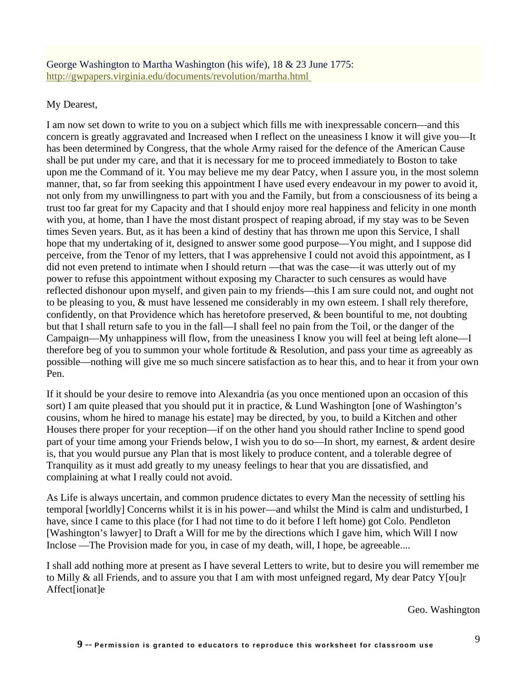## George Washington to Martha Washington (his wife), 18 & 23 June 1775: <http://gwpapers.virginia.edu/documents/revolution/martha.html>

# My Dearest,

I am now set down to write to you on a subject which fills me with inexpressable concern—and this concern is greatly aggravated and Increased when I reflect on the uneasiness I know it will give you—It has been determined by Congress, that the whole Army raised for the defence of the American Cause shall be put under my care, and that it is necessary for me to proceed immediately to Boston to take upon me the Command of it. You may believe me my dear Patcy, when I assure you, in the most solemn manner, that, so far from seeking this appointment I have used every endeavour in my power to avoid it, not only from my unwillingness to part with you and the Family, but from a consciousness of its being a trust too far great for my Capacity and that I should enjoy more real happiness and felicity in one month with you, at home, than I have the most distant prospect of reaping abroad, if my stay was to be Seven times Seven years. But, as it has been a kind of destiny that has thrown me upon this Service, I shall hope that my undertaking of it, designed to answer some good purpose—You might, and I suppose did perceive, from the Tenor of my letters, that I was apprehensive I could not avoid this appointment, as I did not even pretend to intimate when I should return —that was the case—it was utterly out of my power to refuse this appointment without exposing my Character to such censures as would have reflected dishonour upon myself, and given pain to my friends—this I am sure could not, and ought not to be pleasing to you, & must have lessened me considerably in my own esteem. I shall rely therefore, confidently, on that Providence which has heretofore preserved, & been bountiful to me, not doubting but that I shall return safe to you in the fall—I shall feel no pain from the Toil, or the danger of the Campaign—My unhappiness will flow, from the uneasiness I know you will feel at being left alone—I therefore beg of you to summon your whole fortitude & Resolution, and pass your time as agreeably as possible—nothing will give me so much sincere satisfaction as to hear this, and to hear it from your own Pen.

If it should be your desire to remove into Alexandria (as you once mentioned upon an occasion of this sort) I am quite pleased that you should put it in practice, & Lund Washington [one of Washington's cousins, whom he hired to manage his estate] may be directed, by you, to build a Kitchen and other Houses there proper for your reception—if on the other hand you should rather Incline to spend good part of your time among your Friends below, I wish you to do so—In short, my earnest, & ardent desire is, that you would pursue any Plan that is most likely to produce content, and a tolerable degree of Tranquility as it must add greatly to my uneasy feelings to hear that you are dissatisfied, and complaining at what I really could not avoid.

As Life is always uncertain, and common prudence dictates to every Man the necessity of settling his temporal [worldly] Concerns whilst it is in his power—and whilst the Mind is calm and undisturbed, I have, since I came to this place (for I had not time to do it before I left home) got Colo. Pendleton [Washington's lawyer] to Draft a Will for me by the directions which I gave him, which Will I now Inclose —The Provision made for you, in case of my death, will, I hope, be agreeable....

I shall add nothing more at present as I have several Letters to write, but to desire you will remember me to Milly & all Friends, and to assure you that I am with most unfeigned regard, My dear Patcy Y[ou]r Affect[ionat]e

Geo. Washington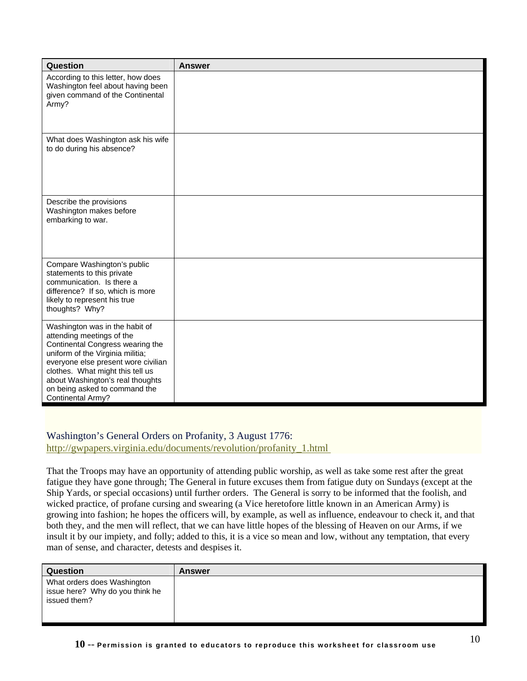| Question                                                                                                                                                                                                                                                                                                 | <b>Answer</b> |
|----------------------------------------------------------------------------------------------------------------------------------------------------------------------------------------------------------------------------------------------------------------------------------------------------------|---------------|
| According to this letter, how does<br>Washington feel about having been<br>given command of the Continental<br>Army?                                                                                                                                                                                     |               |
| What does Washington ask his wife<br>to do during his absence?                                                                                                                                                                                                                                           |               |
| Describe the provisions<br>Washington makes before<br>embarking to war.                                                                                                                                                                                                                                  |               |
| Compare Washington's public<br>statements to this private<br>communication. Is there a<br>difference? If so, which is more<br>likely to represent his true<br>thoughts? Why?                                                                                                                             |               |
| Washington was in the habit of<br>attending meetings of the<br>Continental Congress wearing the<br>uniform of the Virginia militia;<br>everyone else present wore civilian<br>clothes. What might this tell us<br>about Washington's real thoughts<br>on being asked to command the<br>Continental Army? |               |

## Washington's General Orders on Profanity, 3 August 1776:

[http://gwpapers.virginia.edu/documents/revolution/profanity\\_1.html](http://gwpapers.virginia.edu/documents/revolution/profanity_1.html) 

That the Troops may have an opportunity of attending public worship, as well as take some rest after the great fatigue they have gone through; The General in future excuses them from fatigue duty on Sundays (except at the Ship Yards, or special occasions) until further orders. The General is sorry to be informed that the foolish, and wicked practice, of profane cursing and swearing (a Vice heretofore little known in an American Army) is growing into fashion; he hopes the officers will, by example, as well as influence, endeavour to check it, and that both they, and the men will reflect, that we can have little hopes of the blessing of Heaven on our Arms, if we insult it by our impiety, and folly; added to this, it is a vice so mean and low, without any temptation, that every man of sense, and character, detests and despises it.

| Question                                                                       | <b>Answer</b> |
|--------------------------------------------------------------------------------|---------------|
| What orders does Washington<br>issue here? Why do you think he<br>issued them? |               |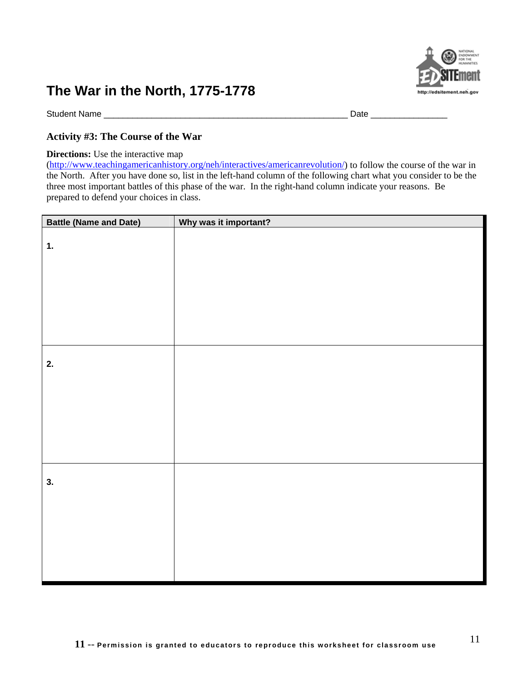

Student Name \_\_\_\_\_\_\_\_\_\_\_\_\_\_\_\_\_\_\_\_\_\_\_\_\_\_\_\_\_\_\_\_\_\_\_\_\_\_\_\_\_\_\_\_\_\_\_\_\_\_\_ Date \_\_\_\_\_\_\_\_\_\_\_\_\_\_\_\_

### **Activity #3: The Course of the War**

#### **Directions:** Use the interactive map

(<http://www.teachingamericanhistory.org/neh/interactives/americanrevolution/>) to follow the course of the war in the North. After you have done so, list in the left-hand column of the following chart what you consider to be the three most important battles of this phase of the war. In the right-hand column indicate your reasons. Be prepared to defend your choices in class.

| <b>Battle (Name and Date)</b> | Why was it important? |
|-------------------------------|-----------------------|
| 1.                            |                       |
|                               |                       |
|                               |                       |
|                               |                       |
|                               |                       |
| 2.                            |                       |
|                               |                       |
|                               |                       |
|                               |                       |
|                               |                       |
| 3.                            |                       |
|                               |                       |
|                               |                       |
|                               |                       |
|                               |                       |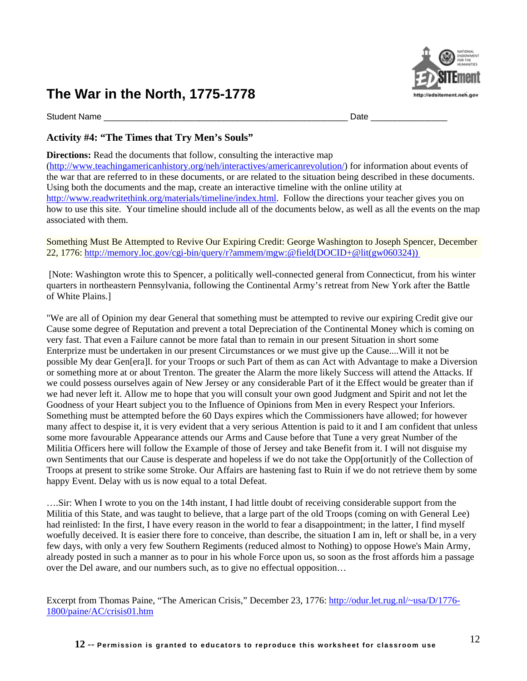

Student Name \_\_\_\_\_\_\_\_\_\_\_\_\_\_\_\_\_\_\_\_\_\_\_\_\_\_\_\_\_\_\_\_\_\_\_\_\_\_\_\_\_\_\_\_\_\_\_\_\_\_\_ Date \_\_\_\_\_\_\_\_\_\_\_\_\_\_\_\_

## **Activity #4: "The Times that Try Men's Souls"**

**Directions:** Read the documents that follow, consulting the interactive map

(<http://www.teachingamericanhistory.org/neh/interactives/americanrevolution/>) for information about events of the war that are referred to in these documents, or are related to the situation being described in these documents. Using both the documents and the map, create an interactive timeline with the online utility at <http://www.readwritethink.org/materials/timeline/index.html>. Follow the directions your teacher gives you on how to use this site. Your timeline should include all of the documents below, as well as all the events on the map associated with them.

Something Must Be Attempted to Revive Our Expiring Credit: George Washington to Joseph Spencer, December 22, 1776: [http://memory.loc.gov/cgi-bin/query/r?ammem/mgw:@field\(DOCID+@lit\(gw060324\)\)](http://memory.loc.gov/cgi-bin/query/r?ammem/mgw:@field(DOCID+@lit(gw060324))) 

 [Note: Washington wrote this to Spencer, a politically well-connected general from Connecticut, from his winter quarters in northeastern Pennsylvania, following the Continental Army's retreat from New York after the Battle of White Plains.]

"We are all of Opinion my dear General that something must be attempted to revive our expiring Credit give our Cause some degree of Reputation and prevent a total Depreciation of the Continental Money which is coming on very fast. That even a Failure cannot be more fatal than to remain in our present Situation in short some Enterprize must be undertaken in our present Circumstances or we must give up the Cause....Will it not be possible My dear Gen[era]l. for your Troops or such Part of them as can Act with Advantage to make a Diversion or something more at or about Trenton. The greater the Alarm the more likely Success will attend the Attacks. If we could possess ourselves again of New Jersey or any considerable Part of it the Effect would be greater than if we had never left it. Allow me to hope that you will consult your own good Judgment and Spirit and not let the Goodness of your Heart subject you to the Influence of Opinions from Men in every Respect your Inferiors. Something must be attempted before the 60 Days expires which the Commissioners have allowed; for however many affect to despise it, it is very evident that a very serious Attention is paid to it and I am confident that unless some more favourable Appearance attends our Arms and Cause before that Tune a very great Number of the Militia Officers here will follow the Example of those of Jersey and take Benefit from it. I will not disguise my own Sentiments that our Cause is desperate and hopeless if we do not take the Opp[ortunit]y of the Collection of Troops at present to strike some Stroke. Our Affairs are hastening fast to Ruin if we do not retrieve them by some happy Event. Delay with us is now equal to a total Defeat.

….Sir: When I wrote to you on the 14th instant, I had little doubt of receiving considerable support from the Militia of this State, and was taught to believe, that a large part of the old Troops (coming on with General Lee) had reinlisted: In the first, I have every reason in the world to fear a disappointment; in the latter, I find myself woefully deceived. It is easier there fore to conceive, than describe, the situation I am in, left or shall be, in a very few days, with only a very few Southern Regiments (reduced almost to Nothing) to oppose Howe's Main Army, already posted in such a manner as to pour in his whole Force upon us, so soon as the frost affords him a passage over the Del aware, and our numbers such, as to give no effectual opposition…

Excerpt from Thomas Paine, "The American Crisis," December 23, 1776: [http://odur.let.rug.nl/~usa/D/1776-](http://odur.let.rug.nl/%7Eusa/D/1776-1800/paine/AC/crisis01.htm) [1800/paine/AC/crisis01.htm](http://odur.let.rug.nl/%7Eusa/D/1776-1800/paine/AC/crisis01.htm)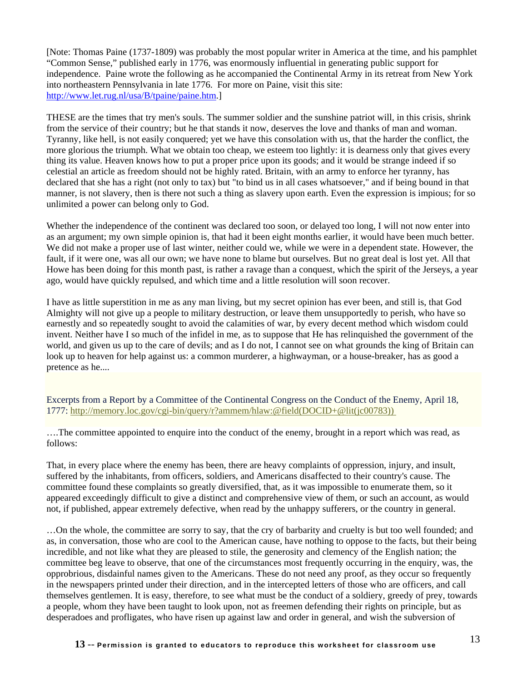[Note: Thomas Paine (1737-1809) was probably the most popular writer in America at the time, and his pamphlet "Common Sense," published early in 1776, was enormously influential in generating public support for independence. Paine wrote the following as he accompanied the Continental Army in its retreat from New York into northeastern Pennsylvania in late 1776. For more on Paine, visit this site: <http://www.let.rug.nl/usa/B/tpaine/paine.htm>.]

THESE are the times that try men's souls. The summer soldier and the sunshine patriot will, in this crisis, shrink from the service of their country; but he that stands it now, deserves the love and thanks of man and woman. Tyranny, like hell, is not easily conquered; yet we have this consolation with us, that the harder the conflict, the more glorious the triumph. What we obtain too cheap, we esteem too lightly: it is dearness only that gives every thing its value. Heaven knows how to put a proper price upon its goods; and it would be strange indeed if so celestial an article as freedom should not be highly rated. Britain, with an army to enforce her tyranny, has declared that she has a right (not only to tax) but "to bind us in all cases whatsoever," and if being bound in that manner, is not slavery, then is there not such a thing as slavery upon earth. Even the expression is impious; for so unlimited a power can belong only to God.

Whether the independence of the continent was declared too soon, or delayed too long, I will not now enter into as an argument; my own simple opinion is, that had it been eight months earlier, it would have been much better. We did not make a proper use of last winter, neither could we, while we were in a dependent state. However, the fault, if it were one, was all our own; we have none to blame but ourselves. But no great deal is lost yet. All that Howe has been doing for this month past, is rather a ravage than a conquest, which the spirit of the Jerseys, a year ago, would have quickly repulsed, and which time and a little resolution will soon recover.

I have as little superstition in me as any man living, but my secret opinion has ever been, and still is, that God Almighty will not give up a people to military destruction, or leave them unsupportedly to perish, who have so earnestly and so repeatedly sought to avoid the calamities of war, by every decent method which wisdom could invent. Neither have I so much of the infidel in me, as to suppose that He has relinquished the government of the world, and given us up to the care of devils; and as I do not, I cannot see on what grounds the king of Britain can look up to heaven for help against us: a common murderer, a highwayman, or a house-breaker, has as good a pretence as he....

Excerpts from a Report by a Committee of the Continental Congress on the Conduct of the Enemy, April 18, 1777: [http://memory.loc.gov/cgi-bin/query/r?ammem/hlaw:@field\(DOCID+@lit\(jc00783\)\)](http://memory.loc.gov/cgi-bin/query/r?ammem/hlaw:@field(DOCID+@lit(jc00783))) 

….The committee appointed to enquire into the conduct of the enemy, brought in a report which was read, as follows:

That, in every place where the enemy has been, there are heavy complaints of oppression, injury, and insult, suffered by the inhabitants, from officers, soldiers, and Americans disaffected to their country's cause. The committee found these complaints so greatly diversified, that, as it was impossible to enumerate them, so it appeared exceedingly difficult to give a distinct and comprehensive view of them, or such an account, as would not, if published, appear extremely defective, when read by the unhappy sufferers, or the country in general.

…On the whole, the committee are sorry to say, that the cry of barbarity and cruelty is but too well founded; and as, in conversation, those who are cool to the American cause, have nothing to oppose to the facts, but their being incredible, and not like what they are pleased to stile, the generosity and clemency of the English nation; the committee beg leave to observe, that one of the circumstances most frequently occurring in the enquiry, was, the opprobrious, disdainful names given to the Americans. These do not need any proof, as they occur so frequently in the newspapers printed under their direction, and in the intercepted letters of those who are officers, and call themselves gentlemen. It is easy, therefore, to see what must be the conduct of a soldiery, greedy of prey, towards a people, whom they have been taught to look upon, not as freemen defending their rights on principle, but as desperadoes and profligates, who have risen up against law and order in general, and wish the subversion of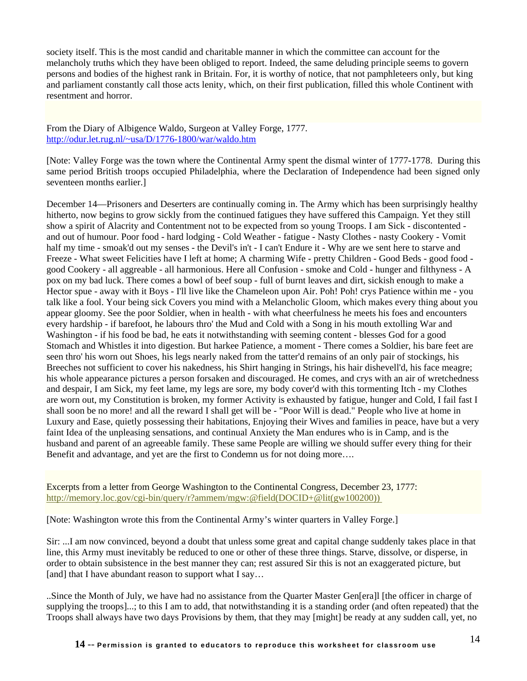society itself. This is the most candid and charitable manner in which the committee can account for the melancholy truths which they have been obliged to report. Indeed, the same deluding principle seems to govern persons and bodies of the highest rank in Britain. For, it is worthy of notice, that not pamphleteers only, but king and parliament constantly call those acts lenity, which, on their first publication, filled this whole Continent with resentment and horror.

From the Diary of Albigence Waldo, Surgeon at Valley Forge, 1777. [http://odur.let.rug.nl/~usa/D/1776-1800/war/waldo.htm](http://odur.let.rug.nl/%7Eusa/D/1776-1800/war/waldo.htm) 

[Note: Valley Forge was the town where the Continental Army spent the dismal winter of 1777-1778. During this same period British troops occupied Philadelphia, where the Declaration of Independence had been signed only seventeen months earlier.]

December 14—Prisoners and Deserters are continually coming in. The Army which has been surprisingly healthy hitherto, now begins to grow sickly from the continued fatigues they have suffered this Campaign. Yet they still show a spirit of Alacrity and Contentment not to be expected from so young Troops. I am Sick - discontented and out of humour. Poor food - hard lodging - Cold Weather - fatigue - Nasty Clothes - nasty Cookery - Vomit half my time - smoak'd out my senses - the Devil's in't - I can't Endure it - Why are we sent here to starve and Freeze - What sweet Felicities have I left at home; A charming Wife - pretty Children - Good Beds - good food good Cookery - all aggreable - all harmonious. Here all Confusion - smoke and Cold - hunger and filthyness - A pox on my bad luck. There comes a bowl of beef soup - full of burnt leaves and dirt, sickish enough to make a Hector spue - away with it Boys - I'll live like the Chameleon upon Air. Poh! Poh! crys Patience within me - you talk like a fool. Your being sick Covers you mind with a Melancholic Gloom, which makes every thing about you appear gloomy. See the poor Soldier, when in health - with what cheerfulness he meets his foes and encounters every hardship - if barefoot, he labours thro' the Mud and Cold with a Song in his mouth extolling War and Washington - if his food be bad, he eats it notwithstanding with seeming content - blesses God for a good Stomach and Whistles it into digestion. But harkee Patience, a moment - There comes a Soldier, his bare feet are seen thro' his worn out Shoes, his legs nearly naked from the tatter'd remains of an only pair of stockings, his Breeches not sufficient to cover his nakedness, his Shirt hanging in Strings, his hair dishevell'd, his face meagre; his whole appearance pictures a person forsaken and discouraged. He comes, and crys with an air of wretchedness and despair, I am Sick, my feet lame, my legs are sore, my body cover'd with this tormenting Itch - my Clothes are worn out, my Constitution is broken, my former Activity is exhausted by fatigue, hunger and Cold, I fail fast I shall soon be no more! and all the reward I shall get will be - "Poor Will is dead." People who live at home in Luxury and Ease, quietly possessing their habitations, Enjoying their Wives and families in peace, have but a very faint Idea of the unpleasing sensations, and continual Anxiety the Man endures who is in Camp, and is the husband and parent of an agreeable family. These same People are willing we should suffer every thing for their Benefit and advantage, and yet are the first to Condemn us for not doing more….

Excerpts from a letter from George Washington to the Continental Congress, December 23, 1777: [http://memory.loc.gov/cgi-bin/query/r?ammem/mgw:@field\(DOCID+@lit\(gw100200\)\)](http://memory.loc.gov/cgi-bin/query/r?ammem/mgw:@field(DOCID+@lit(gw100200))) 

[Note: Washington wrote this from the Continental Army's winter quarters in Valley Forge.]

Sir: ...I am now convinced, beyond a doubt that unless some great and capital change suddenly takes place in that line, this Army must inevitably be reduced to one or other of these three things. Starve, dissolve, or disperse, in order to obtain subsistence in the best manner they can; rest assured Sir this is not an exaggerated picture, but [and] that I have abundant reason to support what I say...

..Since the Month of July, we have had no assistance from the Quarter Master Gen[era]l [the officer in charge of supplying the troops]...; to this I am to add, that notwithstanding it is a standing order (and often repeated) that the Troops shall always have two days Provisions by them, that they may [might] be ready at any sudden call, yet, no